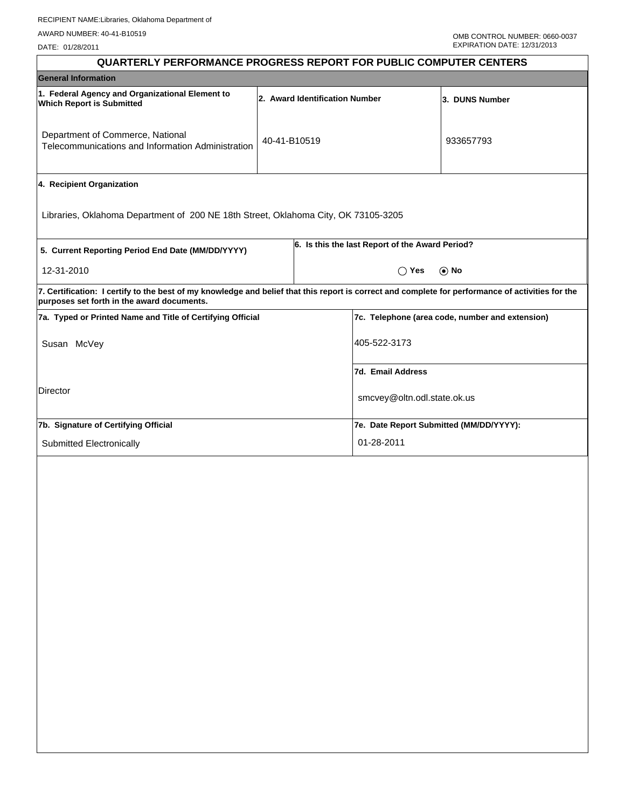| <b>QUARTERLY PERFORMANCE PROGRESS REPORT FOR PUBLIC COMPUTER CENTERS</b>                                                                                                                        |              |                                |                                                 |                |  |  |
|-------------------------------------------------------------------------------------------------------------------------------------------------------------------------------------------------|--------------|--------------------------------|-------------------------------------------------|----------------|--|--|
| <b>General Information</b>                                                                                                                                                                      |              |                                |                                                 |                |  |  |
| 1. Federal Agency and Organizational Element to<br><b>Which Report is Submitted</b>                                                                                                             |              | 2. Award Identification Number |                                                 | 3. DUNS Number |  |  |
| Department of Commerce, National<br>Telecommunications and Information Administration                                                                                                           | 40-41-B10519 |                                |                                                 | 933657793      |  |  |
| 4. Recipient Organization                                                                                                                                                                       |              |                                |                                                 |                |  |  |
| Libraries, Oklahoma Department of 200 NE 18th Street, Oklahoma City, OK 73105-3205                                                                                                              |              |                                |                                                 |                |  |  |
| 5. Current Reporting Period End Date (MM/DD/YYYY)                                                                                                                                               |              |                                | 6. Is this the last Report of the Award Period? |                |  |  |
| 12-31-2010                                                                                                                                                                                      |              | $\bigcirc$ Yes<br>$\odot$ No   |                                                 |                |  |  |
| 7. Certification: I certify to the best of my knowledge and belief that this report is correct and complete for performance of activities for the<br>purposes set forth in the award documents. |              |                                |                                                 |                |  |  |
| 7a. Typed or Printed Name and Title of Certifying Official                                                                                                                                      |              |                                | 7c. Telephone (area code, number and extension) |                |  |  |
| Susan McVey                                                                                                                                                                                     |              |                                | 405-522-3173                                    |                |  |  |
|                                                                                                                                                                                                 |              |                                | 7d. Email Address                               |                |  |  |
| Director                                                                                                                                                                                        |              |                                | smcvey@oltn.odl.state.ok.us                     |                |  |  |
| 7b. Signature of Certifying Official                                                                                                                                                            |              |                                | 7e. Date Report Submitted (MM/DD/YYYY):         |                |  |  |
| Submitted Electronically                                                                                                                                                                        |              |                                | 01-28-2011                                      |                |  |  |
|                                                                                                                                                                                                 |              |                                |                                                 |                |  |  |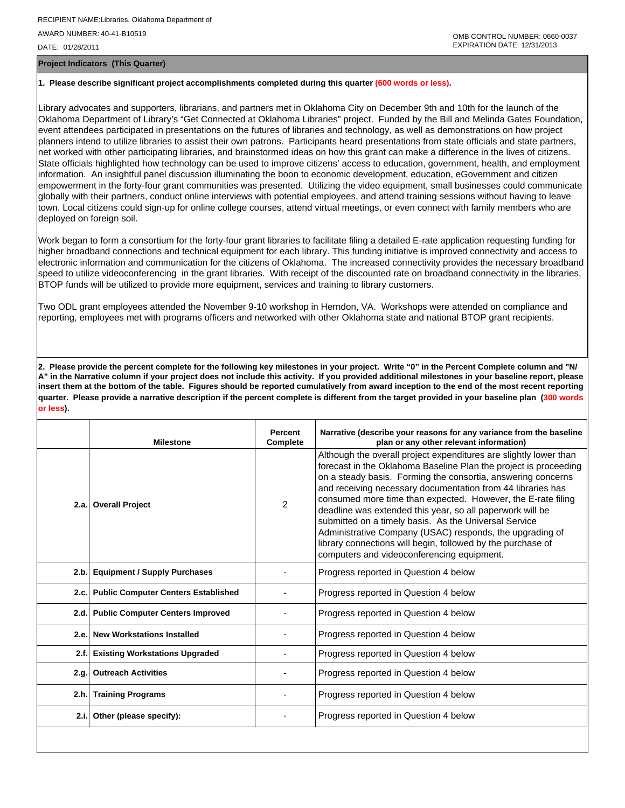**Project Indicators (This Quarter)**

## **1. Please describe significant project accomplishments completed during this quarter (600 words or less).**

Library advocates and supporters, librarians, and partners met in Oklahoma City on December 9th and 10th for the launch of the Oklahoma Department of Library's "Get Connected at Oklahoma Libraries" project. Funded by the Bill and Melinda Gates Foundation, event attendees participated in presentations on the futures of libraries and technology, as well as demonstrations on how project planners intend to utilize libraries to assist their own patrons. Participants heard presentations from state officials and state partners, net worked with other participating libraries, and brainstormed ideas on how this grant can make a difference in the lives of citizens. State officials highlighted how technology can be used to improve citizens' access to education, government, health, and employment information. An insightful panel discussion illuminating the boon to economic development, education, eGovernment and citizen empowerment in the forty-four grant communities was presented. Utilizing the video equipment, small businesses could communicate globally with their partners, conduct online interviews with potential employees, and attend training sessions without having to leave town. Local citizens could sign-up for online college courses, attend virtual meetings, or even connect with family members who are deployed on foreign soil.

Work began to form a consortium for the forty-four grant libraries to facilitate filing a detailed E-rate application requesting funding for higher broadband connections and technical equipment for each library. This funding initiative is improved connectivity and access to electronic information and communication for the citizens of Oklahoma. The increased connectivity provides the necessary broadband speed to utilize videoconferencing in the grant libraries. With receipt of the discounted rate on broadband connectivity in the libraries, BTOP funds will be utilized to provide more equipment, services and training to library customers.

Two ODL grant employees attended the November 9-10 workshop in Herndon, VA. Workshops were attended on compliance and reporting, employees met with programs officers and networked with other Oklahoma state and national BTOP grant recipients.

**2. Please provide the percent complete for the following key milestones in your project. Write "0" in the Percent Complete column and "N/ A" in the Narrative column if your project does not include this activity. If you provided additional milestones in your baseline report, please insert them at the bottom of the table. Figures should be reported cumulatively from award inception to the end of the most recent reporting quarter. Please provide a narrative description if the percent complete is different from the target provided in your baseline plan (300 words or less).**

| <b>Milestone</b>                         | Percent<br>Complete | Narrative (describe your reasons for any variance from the baseline<br>plan or any other relevant information)                                                                                                                                                                                                                                                                                                                                                                                                                                                                                                                      |
|------------------------------------------|---------------------|-------------------------------------------------------------------------------------------------------------------------------------------------------------------------------------------------------------------------------------------------------------------------------------------------------------------------------------------------------------------------------------------------------------------------------------------------------------------------------------------------------------------------------------------------------------------------------------------------------------------------------------|
| 2.a. Overall Project                     | $\mathcal{P}$       | Although the overall project expenditures are slightly lower than<br>forecast in the Oklahoma Baseline Plan the project is proceeding<br>on a steady basis. Forming the consortia, answering concerns<br>and receiving necessary documentation from 44 libraries has<br>consumed more time than expected. However, the E-rate filing<br>deadline was extended this year, so all paperwork will be<br>submitted on a timely basis. As the Universal Service<br>Administrative Company (USAC) responds, the upgrading of<br>library connections will begin, followed by the purchase of<br>computers and videoconferencing equipment. |
| 2.b. Equipment / Supply Purchases        |                     | Progress reported in Question 4 below                                                                                                                                                                                                                                                                                                                                                                                                                                                                                                                                                                                               |
| 2.c. Public Computer Centers Established |                     | Progress reported in Question 4 below                                                                                                                                                                                                                                                                                                                                                                                                                                                                                                                                                                                               |
| 2.d. Public Computer Centers Improved    |                     | Progress reported in Question 4 below                                                                                                                                                                                                                                                                                                                                                                                                                                                                                                                                                                                               |
| 2.e. New Workstations Installed          |                     | Progress reported in Question 4 below                                                                                                                                                                                                                                                                                                                                                                                                                                                                                                                                                                                               |
| 2.f. Existing Workstations Upgraded      |                     | Progress reported in Question 4 below                                                                                                                                                                                                                                                                                                                                                                                                                                                                                                                                                                                               |
| 2.g. Outreach Activities                 |                     | Progress reported in Question 4 below                                                                                                                                                                                                                                                                                                                                                                                                                                                                                                                                                                                               |
| 2.h. Training Programs                   |                     | Progress reported in Question 4 below                                                                                                                                                                                                                                                                                                                                                                                                                                                                                                                                                                                               |
| 2.i. Other (please specify):             |                     | Progress reported in Question 4 below                                                                                                                                                                                                                                                                                                                                                                                                                                                                                                                                                                                               |
|                                          |                     |                                                                                                                                                                                                                                                                                                                                                                                                                                                                                                                                                                                                                                     |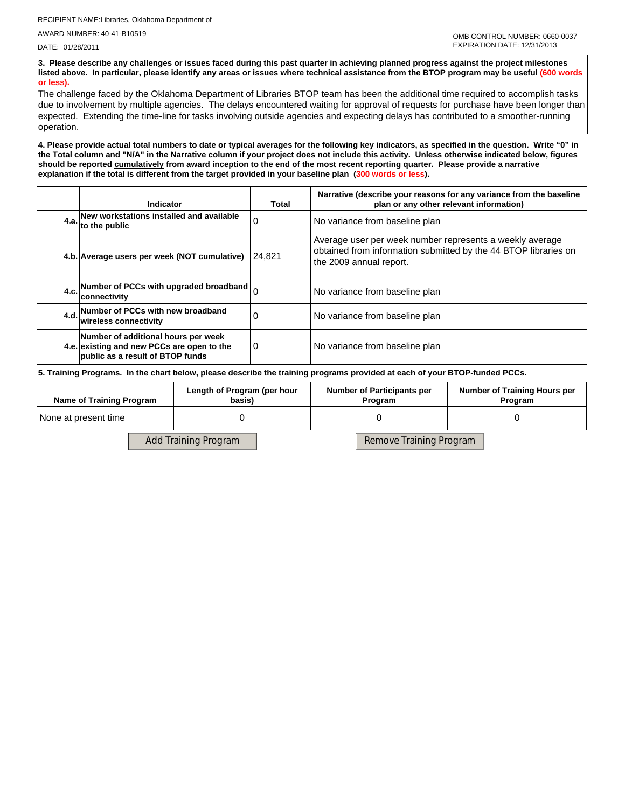**3. Please describe any challenges or issues faced during this past quarter in achieving planned progress against the project milestones listed above. In particular, please identify any areas or issues where technical assistance from the BTOP program may be useful (600 words or less).**

The challenge faced by the Oklahoma Department of Libraries BTOP team has been the additional time required to accomplish tasks due to involvement by multiple agencies. The delays encountered waiting for approval of requests for purchase have been longer than expected. Extending the time-line for tasks involving outside agencies and expecting delays has contributed to a smoother-running operation.

**4. Please provide actual total numbers to date or typical averages for the following key indicators, as specified in the question. Write "0" in the Total column and "N/A" in the Narrative column if your project does not include this activity. Unless otherwise indicated below, figures should be reported cumulatively from award inception to the end of the most recent reporting quarter. Please provide a narrative explanation if the total is different from the target provided in your baseline plan (300 words or less).** 

|                                                                                                                            | <b>Indicator</b>                                                                                                      |  | Total                                        | Narrative (describe your reasons for any variance from the baseline<br>plan or any other relevant information)                                         |  |  |  |
|----------------------------------------------------------------------------------------------------------------------------|-----------------------------------------------------------------------------------------------------------------------|--|----------------------------------------------|--------------------------------------------------------------------------------------------------------------------------------------------------------|--|--|--|
|                                                                                                                            | 4.a. New workstations installed and available<br>4.a. to the public                                                   |  | $\Omega$                                     | No variance from baseline plan                                                                                                                         |  |  |  |
|                                                                                                                            | 4.b. Average users per week (NOT cumulative)                                                                          |  | 24.821                                       | Average user per week number represents a weekly average<br>obtained from information submitted by the 44 BTOP libraries on<br>the 2009 annual report. |  |  |  |
| 4.c.                                                                                                                       | Number of PCCs with upgraded broadband<br>lconnectivitv                                                               |  | $\Omega$                                     | No variance from baseline plan                                                                                                                         |  |  |  |
| 4.d.                                                                                                                       | Number of PCCs with new broadband<br>wireless connectivitv                                                            |  | $\Omega$                                     | No variance from baseline plan                                                                                                                         |  |  |  |
|                                                                                                                            | Number of additional hours per week<br>4.e. existing and new PCCs are open to the<br>public as a result of BTOP funds |  | 0                                            | No variance from baseline plan                                                                                                                         |  |  |  |
| 5. Training Programs. In the chart below, please describe the training programs provided at each of your BTOP-funded PCCs. |                                                                                                                       |  |                                              |                                                                                                                                                        |  |  |  |
| Length of Program (per hour<br><b>Name of Training Program</b><br>basis)                                                   |                                                                                                                       |  | <b>Number of Participants per</b><br>Program | <b>Number of Training Hours per</b><br>Program                                                                                                         |  |  |  |
| None at present time                                                                                                       |                                                                                                                       |  | 0                                            |                                                                                                                                                        |  |  |  |

Add Training Program Remove Training Program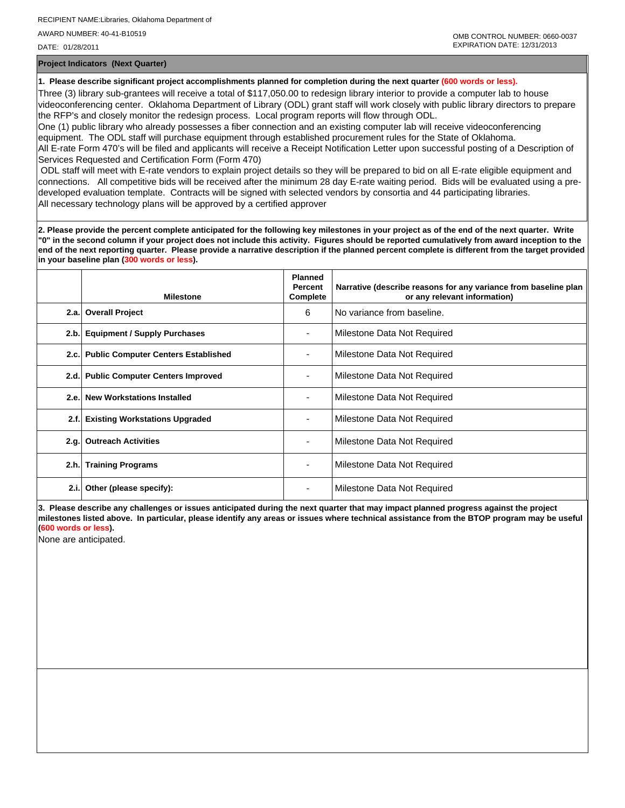**Project Indicators (Next Quarter)**

**1. Please describe significant project accomplishments planned for completion during the next quarter (600 words or less).**

Three (3) library sub-grantees will receive a total of \$117,050.00 to redesign library interior to provide a computer lab to house videoconferencing center. Oklahoma Department of Library (ODL) grant staff will work closely with public library directors to prepare the RFP's and closely monitor the redesign process. Local program reports will flow through ODL.

One (1) public library who already possesses a fiber connection and an existing computer lab will receive videoconferencing equipment. The ODL staff will purchase equipment through established procurement rules for the State of Oklahoma. All E-rate Form 470's will be filed and applicants will receive a Receipt Notification Letter upon successful posting of a Description of Services Requested and Certification Form (Form 470)

 ODL staff will meet with E-rate vendors to explain project details so they will be prepared to bid on all E-rate eligible equipment and connections. All competitive bids will be received after the minimum 28 day E-rate waiting period. Bids will be evaluated using a predeveloped evaluation template. Contracts will be signed with selected vendors by consortia and 44 participating libraries. All necessary technology plans will be approved by a certified approver

**2. Please provide the percent complete anticipated for the following key milestones in your project as of the end of the next quarter. Write "0" in the second column if your project does not include this activity. Figures should be reported cumulatively from award inception to the end of the next reporting quarter. Please provide a narrative description if the planned percent complete is different from the target provided in your baseline plan (300 words or less).**

|      | <b>Milestone</b>                         | <b>Planned</b><br><b>Percent</b><br>Complete | Narrative (describe reasons for any variance from baseline plan<br>or any relevant information) |
|------|------------------------------------------|----------------------------------------------|-------------------------------------------------------------------------------------------------|
| 2.a. | <b>Overall Project</b>                   | 6                                            | No variance from baseline.                                                                      |
| 2.b. | <b>Equipment / Supply Purchases</b>      |                                              | Milestone Data Not Required                                                                     |
|      | 2.c. Public Computer Centers Established |                                              | Milestone Data Not Required                                                                     |
| 2.d. | <b>Public Computer Centers Improved</b>  |                                              | Milestone Data Not Required                                                                     |
| 2.e. | <b>New Workstations Installed</b>        |                                              | Milestone Data Not Required                                                                     |
| 2.f. | <b>Existing Workstations Upgraded</b>    |                                              | Milestone Data Not Required                                                                     |
| 2.g. | <b>Outreach Activities</b>               | $\overline{\phantom{0}}$                     | Milestone Data Not Required                                                                     |
| 2.h. | <b>Training Programs</b>                 |                                              | Milestone Data Not Required                                                                     |
| 2.i. | Other (please specify):                  | ٠                                            | Milestone Data Not Required                                                                     |

**3. Please describe any challenges or issues anticipated during the next quarter that may impact planned progress against the project milestones listed above. In particular, please identify any areas or issues where technical assistance from the BTOP program may be useful (600 words or less).**

None are anticipated.